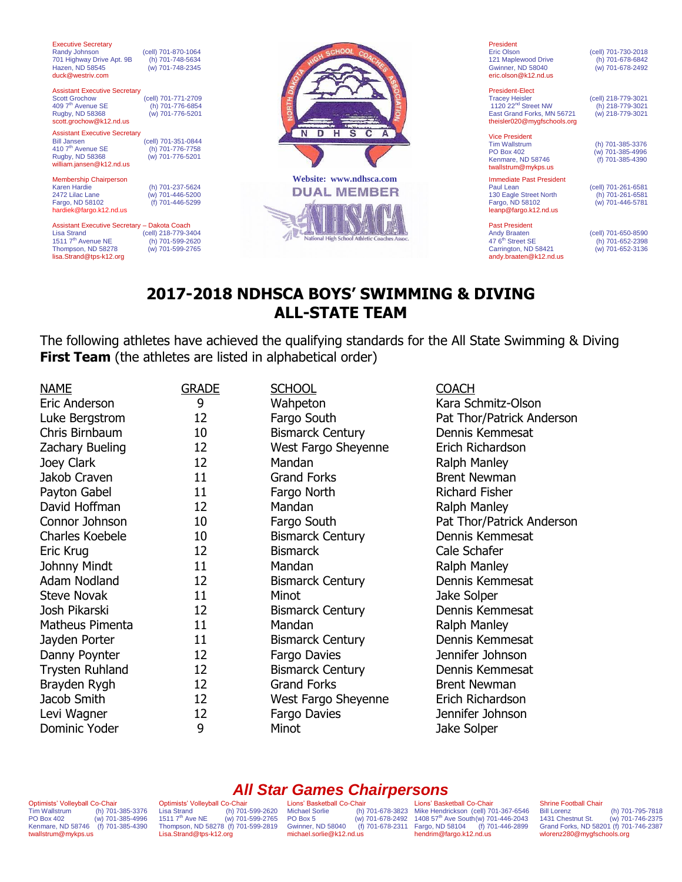| <b>Executive Secretary</b><br>Randy Johnson<br>701 Highway Drive Apt. 9B<br>Hazen, ND 58545<br>duck@westriv.com                                       | (cell) 701-870-1064<br>(h) 701-748-5634<br>(w) 701-748-2345 |                                               | President<br><b>Eric Olson</b><br>121 Maplewood Drive<br><b>Gwinner, ND 58040</b><br>eric.olson@k12.nd.us                                       | (cell) 701-730-2018<br>(h) 701-678-6842<br>(w) 701-678-2492 |
|-------------------------------------------------------------------------------------------------------------------------------------------------------|-------------------------------------------------------------|-----------------------------------------------|-------------------------------------------------------------------------------------------------------------------------------------------------|-------------------------------------------------------------|
| <b>Assistant Executive Secretary</b><br><b>Scott Grochow</b><br>409 7 <sup>th</sup> Avenue SE<br>Rugby, ND 58368<br>scott.grochow@k12.nd.us           | (cell) 701-771-2709<br>(h) 701-776-6854<br>(w) 701-776-5201 |                                               | <b>President-Flect</b><br><b>Tracey Heisler</b><br>1120 22 <sup>nd</sup> Street NW<br>East Grand Forks, MN 56721<br>theisler020@mygfschools.org | (cell) 218-779-3021<br>(h) 218-779-3021<br>(w) 218-779-3021 |
| <b>Assistant Executive Secretary</b><br><b>Bill Jansen</b><br>$410$ $7th$ Avenue SE<br>Rugby, ND 58368<br>william.jansen@k12.nd.us                    | (cell) 701-351-0844<br>(h) 701-776-7758<br>(w) 701-776-5201 | $\mathbf{s}$<br>D<br>н<br>N                   | <b>Vice President</b><br><b>Tim Wallstrum</b><br><b>PO Box 402</b><br>Kenmare, ND 58746<br>twallstrum@mykps.us                                  | (h) 701-385-3376<br>(w) 701-385-4996<br>(f) 701-385-4390    |
| Membership Chairperson<br><b>Karen Hardie</b><br>2472 Lilac Lane<br>Fargo, ND 58102<br>hardiek@fargo.k12.nd.us                                        | (h) 701-237-5624<br>(w) 701-446-5200<br>(f) 701-446-5299    | Website: www.ndhsca.com<br><b>DUAL MEMBER</b> | <b>Immediate Past President</b><br>Paul Lean<br>130 Eagle Street North<br>Fargo, ND 58102<br>leanp@fargo.k12.nd.us                              | (cell) 701-261-6581<br>(h) 701-261-6581<br>(w) 701-446-5781 |
| Assistant Executive Secretary - Dakota Coach<br><b>Lisa Strand</b><br>1511 7 <sup>th</sup> Avenue NE<br>Thompson, ND 58278<br>lisa.Strand@tps-k12.org | (cell) 218-779-3404<br>(h) 701-599-2620<br>(w) 701-599-2765 | National High School Athletic Coaches Assoc   | <b>Past President</b><br><b>Andy Braaten</b><br>47 6 <sup>th</sup> Street SE<br>Carrington, ND 58421<br>andy.braaten@k12.nd.us                  | (cell) 701-650-8590<br>(h) 701-652-2398<br>(w) 701-652-3136 |

# **2017-2018 NDHSCA BOYS' SWIMMING & DIVING ALL-STATE TEAM**

The following athletes have achieved the qualifying standards for the All State Swimming & Diving **First Team** (the athletes are listed in alphabetical order)

| <b>NAME</b><br>Eric Anderson<br>Luke Bergstrom<br>Chris Birnbaum<br>Zachary Bueling<br>Joey Clark<br>Jakob Craven<br>Payton Gabel<br>David Hoffman<br>Connor Johnson<br>Charles Koebele<br>Eric Krug<br>Johnny Mindt<br>Adam Nodland<br><b>Steve Novak</b> | <b>GRADE</b><br>9<br>12<br>10<br>12<br>12<br>11<br>11<br>12<br>10<br>10<br>12<br>11<br>12<br>11 | <b>SCHOOL</b><br>Wahpeton<br>Fargo South<br><b>Bismarck Century</b><br>West Fargo Sheyenne<br>Mandan<br><b>Grand Forks</b><br>Fargo North<br>Mandan<br>Fargo South<br><b>Bismarck Century</b><br><b>Bismarck</b><br>Mandan<br><b>Bismarck Century</b><br>Minot | <b>COACH</b><br>Kara Schmitz-Olson<br>Pat Thor/Patrick Anderson<br>Dennis Kemmesat<br>Erich Richardson<br>Ralph Manley<br><b>Brent Newman</b><br><b>Richard Fisher</b><br>Ralph Manley<br>Pat Thor/Patrick Anderson<br>Dennis Kemmesat<br>Cale Schafer<br>Ralph Manley<br>Dennis Kemmesat<br>Jake Solper |
|------------------------------------------------------------------------------------------------------------------------------------------------------------------------------------------------------------------------------------------------------------|-------------------------------------------------------------------------------------------------|----------------------------------------------------------------------------------------------------------------------------------------------------------------------------------------------------------------------------------------------------------------|----------------------------------------------------------------------------------------------------------------------------------------------------------------------------------------------------------------------------------------------------------------------------------------------------------|
|                                                                                                                                                                                                                                                            |                                                                                                 |                                                                                                                                                                                                                                                                |                                                                                                                                                                                                                                                                                                          |
|                                                                                                                                                                                                                                                            |                                                                                                 |                                                                                                                                                                                                                                                                |                                                                                                                                                                                                                                                                                                          |
|                                                                                                                                                                                                                                                            |                                                                                                 |                                                                                                                                                                                                                                                                |                                                                                                                                                                                                                                                                                                          |
|                                                                                                                                                                                                                                                            |                                                                                                 |                                                                                                                                                                                                                                                                |                                                                                                                                                                                                                                                                                                          |
|                                                                                                                                                                                                                                                            |                                                                                                 |                                                                                                                                                                                                                                                                |                                                                                                                                                                                                                                                                                                          |
|                                                                                                                                                                                                                                                            |                                                                                                 |                                                                                                                                                                                                                                                                |                                                                                                                                                                                                                                                                                                          |
|                                                                                                                                                                                                                                                            |                                                                                                 |                                                                                                                                                                                                                                                                |                                                                                                                                                                                                                                                                                                          |
|                                                                                                                                                                                                                                                            |                                                                                                 |                                                                                                                                                                                                                                                                |                                                                                                                                                                                                                                                                                                          |
| Josh Pikarski                                                                                                                                                                                                                                              | 12                                                                                              | <b>Bismarck Century</b>                                                                                                                                                                                                                                        | Dennis Kemmesat                                                                                                                                                                                                                                                                                          |
| Matheus Pimenta                                                                                                                                                                                                                                            | 11                                                                                              | Mandan                                                                                                                                                                                                                                                         | Ralph Manley                                                                                                                                                                                                                                                                                             |
| Jayden Porter                                                                                                                                                                                                                                              | 11                                                                                              | <b>Bismarck Century</b>                                                                                                                                                                                                                                        | Dennis Kemmesat                                                                                                                                                                                                                                                                                          |
| Danny Poynter                                                                                                                                                                                                                                              | 12                                                                                              | Fargo Davies                                                                                                                                                                                                                                                   | Jennifer Johnson                                                                                                                                                                                                                                                                                         |
| <b>Trysten Ruhland</b>                                                                                                                                                                                                                                     | 12                                                                                              | <b>Bismarck Century</b>                                                                                                                                                                                                                                        | Dennis Kemmesat                                                                                                                                                                                                                                                                                          |
| Brayden Rygh                                                                                                                                                                                                                                               | 12                                                                                              | <b>Grand Forks</b>                                                                                                                                                                                                                                             | <b>Brent Newman</b>                                                                                                                                                                                                                                                                                      |
| Jacob Smith                                                                                                                                                                                                                                                | 12                                                                                              | West Fargo Sheyenne                                                                                                                                                                                                                                            | Erich Richardson                                                                                                                                                                                                                                                                                         |
| Levi Wagner                                                                                                                                                                                                                                                | 12                                                                                              | Fargo Davies                                                                                                                                                                                                                                                   | Jennifer Johnson                                                                                                                                                                                                                                                                                         |
| Dominic Yoder                                                                                                                                                                                                                                              | 9                                                                                               | Minot                                                                                                                                                                                                                                                          | Jake Solper                                                                                                                                                                                                                                                                                              |
|                                                                                                                                                                                                                                                            |                                                                                                 |                                                                                                                                                                                                                                                                |                                                                                                                                                                                                                                                                                                          |

### *All Star Games Chairpersons*

Optimists' Volleyball Co-Chair Tim Wallstrum (h) 701-385-3376 PO Box 402 (w) 701-385-4996 Kenmare, ND 58746 (f) 701-385-4390 twallstrum@mykps.us

Optimists' Volleyball Co-Chair Lisa Strand (h) 701-599-2620 1511 7th Ave NE (w) 701-599-2765 Thompson, ND 58278 (f) 701-599-2819 [Lisa.Strand@tps-k12.org](mailto:Lisa.Strand@tps-k12.org)

Lions' Basketball Co-Chair<br>Michael Sorlie (h)<br>PO Box 5 (w) Gwinner, ND 58040 michael.sorlie@k12.nd.us

Michael Sorlie (h) 701-678-3823 PO Box 5 (w) 701-678-2492 Mike Hendrickson (cell) 701-367-6546 1408 57th Ave South(w) 701-446-2043 Fargo, ND 58104 (f) 701-446-2899 Lions' Basketball Co-Chair hendrim@fargo.k12.nd.us

# Shrine Football Chair<br>Bill Lorenz

Bill Lorenz (h) 701-795-7818 1431 Chestnut St. (w) 701-746-2375 Grand Forks, ND 58201 (f) 701-746-2387 wlorenz280@mygfschools.org